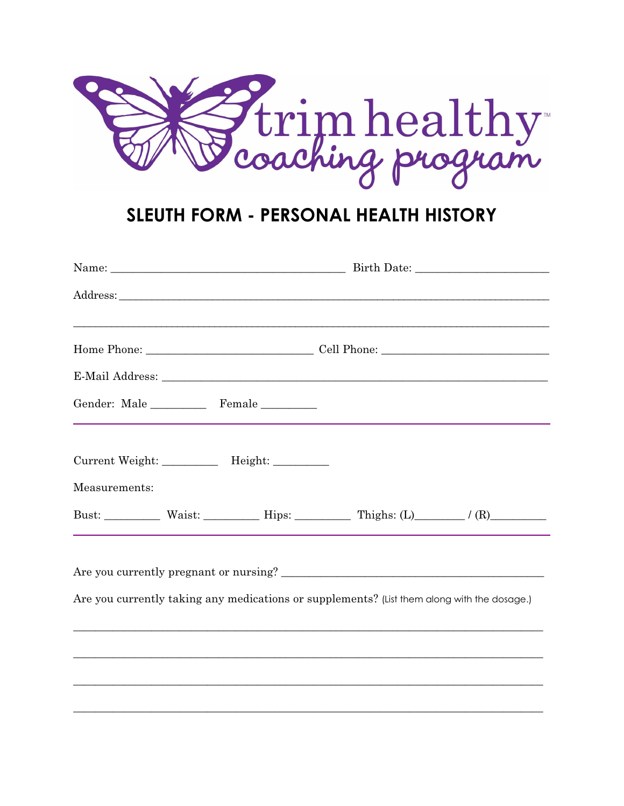

# SLEUTH FORM - PERSONAL HEALTH HISTORY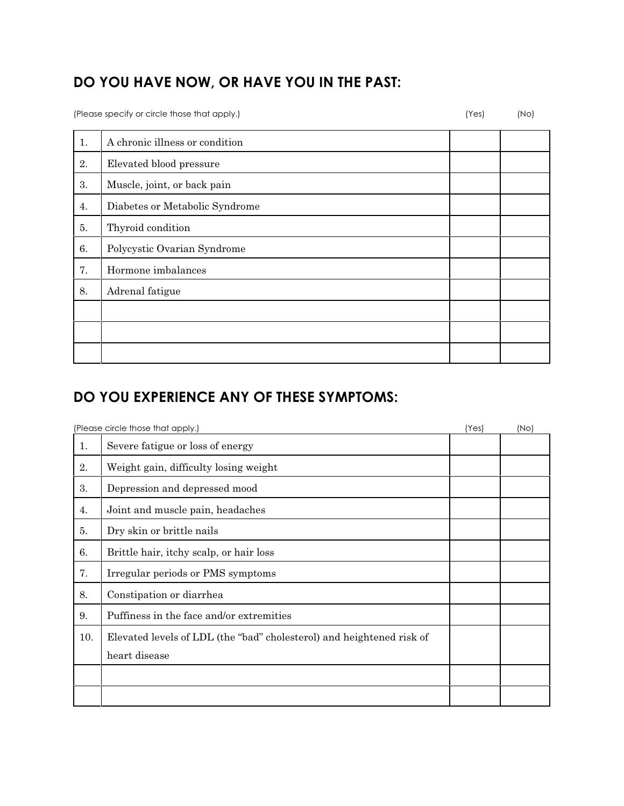## **DO YOU HAVE NOW, OR HAVE YOU IN THE PAST:**

(Please specify or circle those that apply.) (Yes) (No)

| A chronic illness or condition |  |
|--------------------------------|--|
| Elevated blood pressure        |  |
| Muscle, joint, or back pain    |  |
| Diabetes or Metabolic Syndrome |  |
| Thyroid condition              |  |
| Polycystic Ovarian Syndrome    |  |
| Hormone imbalances             |  |
| Adrenal fatigue                |  |
|                                |  |
|                                |  |
|                                |  |
|                                |  |

## **DO YOU EXPERIENCE ANY OF THESE SYMPTOMS:**

|     | (Please circle those that apply.)                                     | (Yes) | (N <sub>O</sub> ) |
|-----|-----------------------------------------------------------------------|-------|-------------------|
| 1.  | Severe fatigue or loss of energy                                      |       |                   |
| 2.  | Weight gain, difficulty losing weight                                 |       |                   |
| 3.  | Depression and depressed mood                                         |       |                   |
| 4.  | Joint and muscle pain, headaches                                      |       |                   |
| 5.  | Dry skin or brittle nails                                             |       |                   |
| 6.  | Brittle hair, itchy scalp, or hair loss                               |       |                   |
| 7.  | Irregular periods or PMS symptoms                                     |       |                   |
| 8.  | Constipation or diarrhea                                              |       |                   |
| 9.  | Puffiness in the face and/or extremities                              |       |                   |
| 10. | Elevated levels of LDL (the "bad" cholesterol) and heightened risk of |       |                   |
|     | heart disease                                                         |       |                   |
|     |                                                                       |       |                   |
|     |                                                                       |       |                   |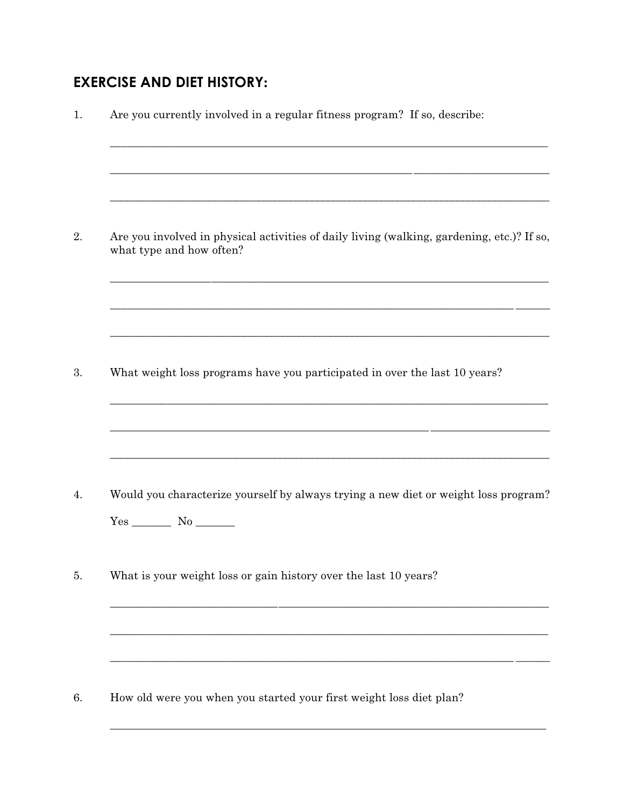## **EXERCISE AND DIET HISTORY:**

| 1. | Are you currently involved in a regular fitness program? If so, describe:<br><u> 1989 - Andrea Santa Andrea Santa Andrea Santa Andrea Santa Andrea Santa Andrea Santa Andrea Santa Andrea San</u>   |
|----|-----------------------------------------------------------------------------------------------------------------------------------------------------------------------------------------------------|
| 2. | Are you involved in physical activities of daily living (walking, gardening, etc.)? If so,<br>what type and how often?                                                                              |
| 3. | <u> 1989 - John Harry Harry Harry Harry Harry Harry Harry Harry Harry Harry Harry Harry Harry Harry Harry Harry H</u><br>What weight loss programs have you participated in over the last 10 years? |
| 4. | Would you characterize yourself by always trying a new diet or weight loss program?                                                                                                                 |
| 5. | What is your weight loss or gain history over the last 10 years?                                                                                                                                    |
| 6. | How old were you when you started your first weight loss diet plan?                                                                                                                                 |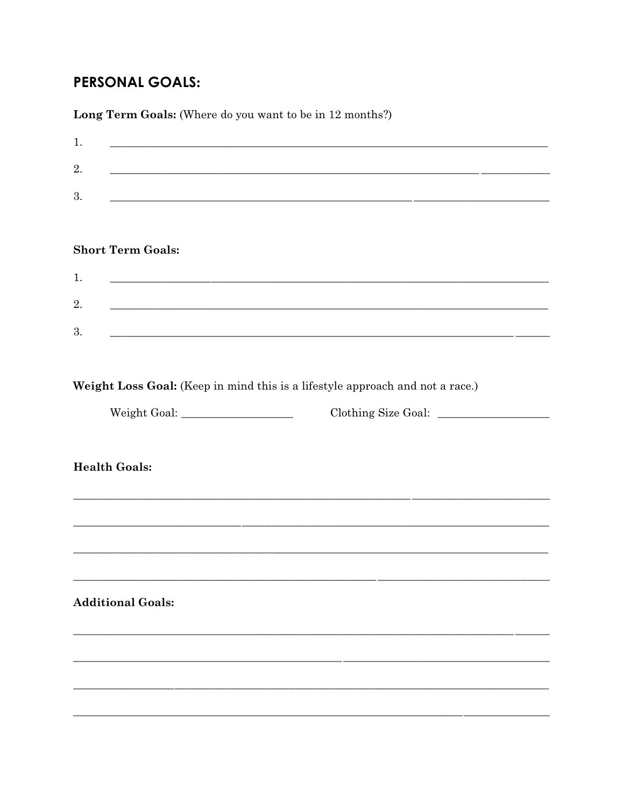## **PERSONAL GOALS:**

Long Term Goals: (Where do you want to be in 12 months?)

| 1.<br><u> 1989 - Johann John Stone, mars et al. (1989)</u>                                                                  |  |
|-----------------------------------------------------------------------------------------------------------------------------|--|
| 2.<br><u> 1989 - Johann Stoff, Amerikaansk politiker (* 1905)</u>                                                           |  |
| 3.<br><u> 1989 - Johann Stoff, deutscher Stoffen und der Stoffen und der Stoffen und der Stoffen und der Stoffen und de</u> |  |
|                                                                                                                             |  |
|                                                                                                                             |  |
| <b>Short Term Goals:</b>                                                                                                    |  |
| 1.<br><u> 1989 - Andrea Santa Andrea Andrea Andrea Andrea Andrea Andrea Andrea Andrea Andrea Andrea Andrea Andrea Andr</u>  |  |
| 2.<br><u> 1989 - Johann John Stoff, deutscher Stoffen und der Stoffen und der Stoffen und der Stoffen und der Stoffen u</u> |  |
| 3.<br><u> 1989 - Johann Stoff, amerikansk politiker (* 1908)</u>                                                            |  |
|                                                                                                                             |  |
|                                                                                                                             |  |
| Weight Loss Goal: (Keep in mind this is a lifestyle approach and not a race.)                                               |  |
| Clothing Size Goal:                                                                                                         |  |
|                                                                                                                             |  |
| <b>Health Goals:</b>                                                                                                        |  |
|                                                                                                                             |  |
|                                                                                                                             |  |
|                                                                                                                             |  |
|                                                                                                                             |  |
|                                                                                                                             |  |
| <b>Additional Goals:</b>                                                                                                    |  |
|                                                                                                                             |  |
|                                                                                                                             |  |
|                                                                                                                             |  |
|                                                                                                                             |  |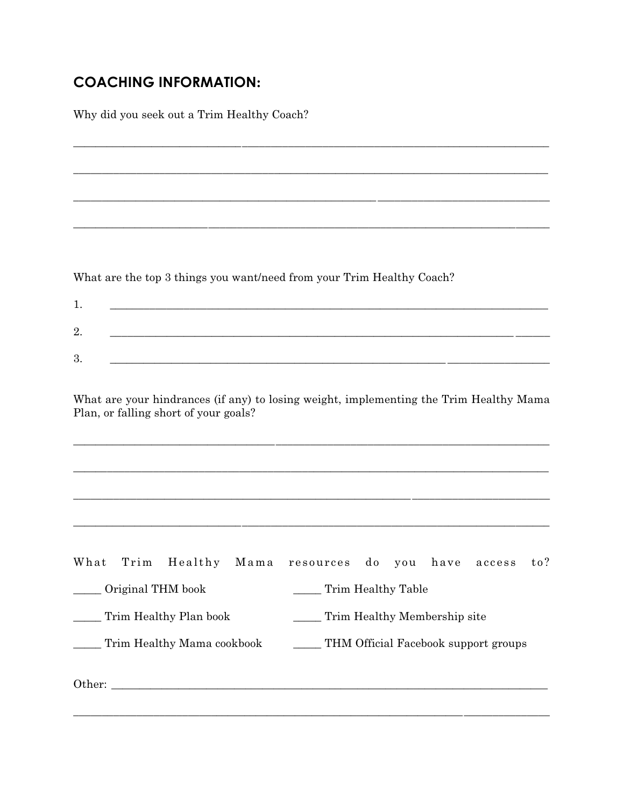### **COACHING INFORMATION:**

Why did you seek out a Trim Healthy Coach?

What are the top 3 things you want/need from your Trim Healthy Coach?

| - 63<br>4 |  |
|-----------|--|
| റ<br>ಲ    |  |

What are your hindrances (if any) to losing weight, implementing the Trim Healthy Mama Plan, or falling short of your goals?

|                            |  |  |                                      | What Trim Healthy Mama resources do you have access |  |  |  |  | to? |
|----------------------------|--|--|--------------------------------------|-----------------------------------------------------|--|--|--|--|-----|
| Original THM book          |  |  | Trim Healthy Table                   |                                                     |  |  |  |  |     |
| Trim Healthy Plan book     |  |  | Trim Healthy Membership site         |                                                     |  |  |  |  |     |
| Trim Healthy Mama cookbook |  |  | THM Official Facebook support groups |                                                     |  |  |  |  |     |
|                            |  |  |                                      |                                                     |  |  |  |  |     |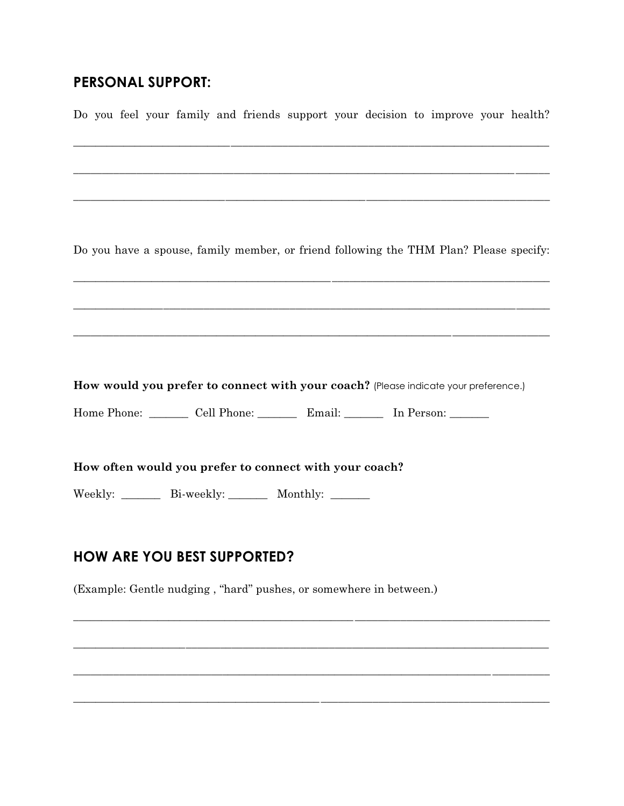#### **PERSONAL SUPPORT:**

Do you feel your family and friends support your decision to improve your health?

Do you have a spouse, family member, or friend following the THM Plan? Please specify:

How would you prefer to connect with your coach? (Please indicate your preference.)

<u> 1990 - John Harry Harry Harry Harry Harry Harry Harry Harry Harry Harry Harry Harry Harry Harry Harry Harry H</u>

Home Phone: Cell Phone: Email: In Person:

How often would you prefer to connect with your coach?

Weekly: \_\_\_\_\_\_\_ Bi-weekly: \_\_\_\_\_\_\_ Monthly: \_\_\_\_\_\_

#### **HOW ARE YOU BEST SUPPORTED?**

(Example: Gentle nudging, "hard" pushes, or somewhere in between.)